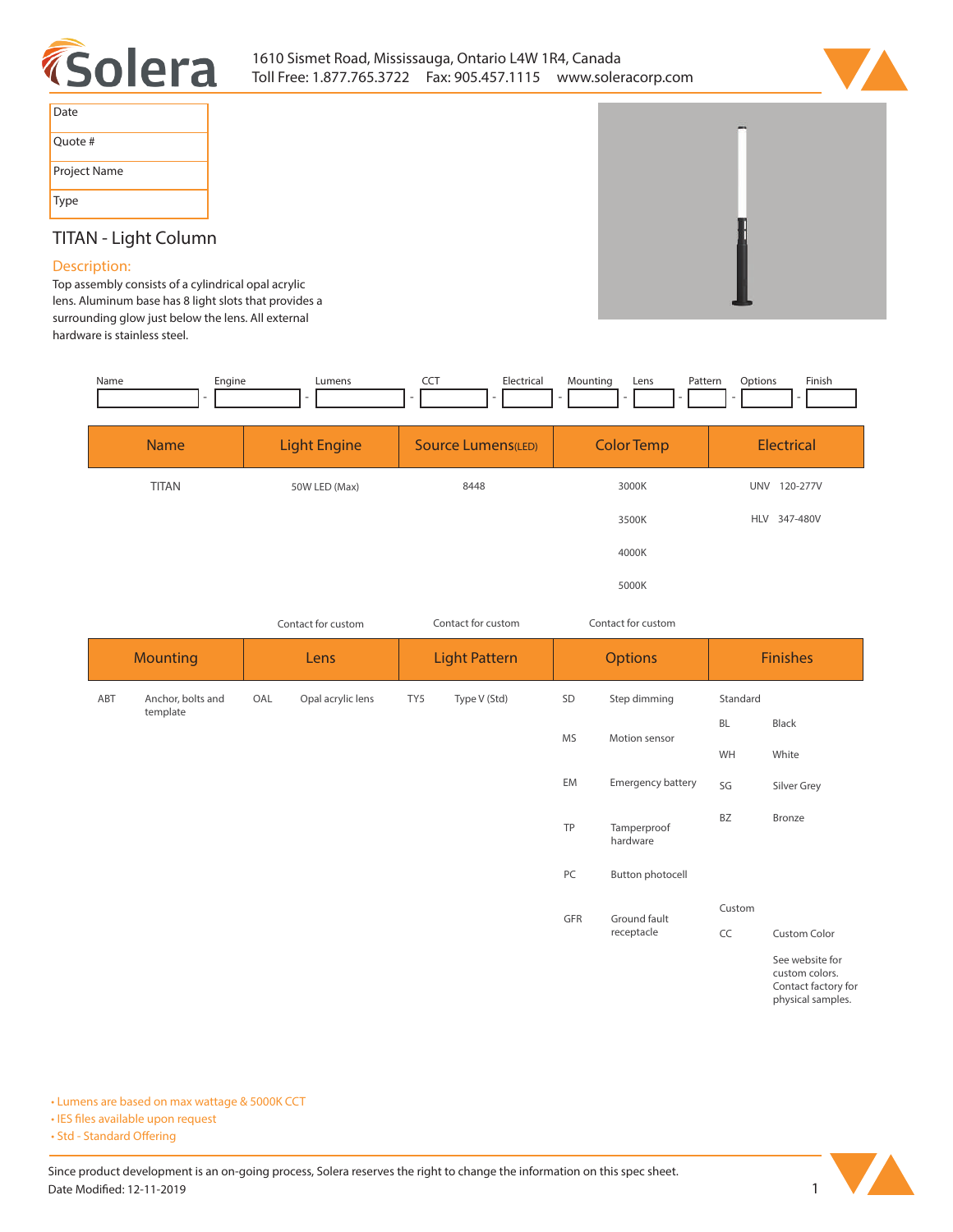



| Date         |
|--------------|
| Quote #      |
| Project Name |
| Type         |

# **TITAN - Light Column**

## **Description:**

**Top assembly consists of a cylindrical opal acrylic lens. Aluminum base has 8 light slots that provides a surrounding glow just below the lens. All external hardware is stainless steel.** 

| Engine<br>Name<br>$\overline{\phantom{a}}$ | Lumens<br>۰         | <b>CCT</b><br>Electrical<br>$\overline{\phantom{a}}$ | Mounting<br>Pattern<br>Lens<br>- | Finish<br>Options      |  |
|--------------------------------------------|---------------------|------------------------------------------------------|----------------------------------|------------------------|--|
| <b>Name</b>                                | <b>Light Engine</b> | Source Lumens(LED)                                   | <b>Color Temp</b>                | Electrical             |  |
| <b>TITAN</b>                               | 50W LED (Max)       | 8448                                                 | 3000K                            | UNV<br>120-277V        |  |
|                                            |                     |                                                      | 3500K                            | 347-480V<br><b>HLV</b> |  |
|                                            |                     |                                                      | 4000K                            |                        |  |

**5000K**

|                         | Contact for custom |     |                      |     | Contact for custom |            | Contact for custom      |                     |                                                                               |
|-------------------------|--------------------|-----|----------------------|-----|--------------------|------------|-------------------------|---------------------|-------------------------------------------------------------------------------|
| <b>Mounting</b><br>Lens |                    |     | <b>Light Pattern</b> |     | <b>Options</b>     |            | <b>Finishes</b>         |                     |                                                                               |
| ABT                     | Anchor, bolts and  | OAL | Opal acrylic lens    | TY5 | Type V (Std)       | SD         | Step dimming            | Standard            |                                                                               |
|                         | template           |     |                      |     |                    | MS         | Motion sensor           | BL                  | Black                                                                         |
|                         |                    |     |                      |     |                    |            |                         | WH                  | White                                                                         |
|                         |                    |     |                      |     |                    | EM         | Emergency battery       | SG                  | Silver Grey                                                                   |
|                         |                    |     |                      |     |                    | TP         | Tamperproof<br>hardware | BZ                  | Bronze                                                                        |
|                         |                    |     |                      |     |                    | PC         | <b>Button photocell</b> |                     |                                                                               |
|                         |                    |     |                      |     |                    | GFR        | Ground fault            | Custom              |                                                                               |
|                         |                    |     |                      |     |                    | receptacle | CC                      | <b>Custom Color</b> |                                                                               |
|                         |                    |     |                      |     |                    |            |                         |                     | See website for<br>custom colors.<br>Contact factory for<br>physical samples. |

**• Lumens are based on max wattage & 5000K CCT**

**• IES files available upon request** 

• Std - Standard Offering

Since product development is an on-going process, Solera reserves the right to change the information on this spec sheet. **Date Modified: 12-11-2019** 1